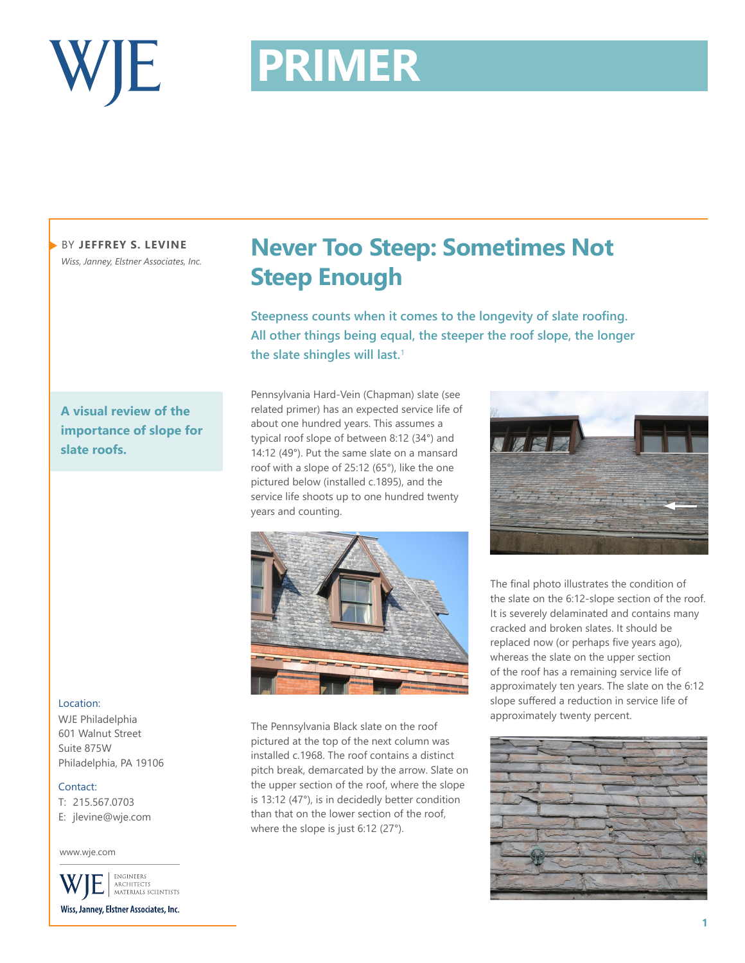

# **PRIMER PRIMER**

BY **JEFFREY S. LEVINE** *Wiss, Janney, Elstner Associates, Inc.*

**A visual review of the importance of slope for slate roofs.**

## Location:

WJE Philadelphia 601 Walnut Street Suite 875W Philadelphia, PA 19106

### Contact:

T: 215.567.0703 E: jlevine@wje.com

www.wje.com

ENGINEERS ARCHITECTS<br>MATERIALS SCIENTISTS Wiss, Janney, Elstner Associates, Inc.

## **Never Too Steep: Sometimes Not Steep Enough**

**Steepness counts when it comes to the longevity of slate roofing. All other things being equal, the steeper the roof slope, the longer the slate shingles will last.**<sup>1</sup>

Pennsylvania Hard-Vein (Chapman) slate (see related primer) has an expected service life of about one hundred years. This assumes a typical roof slope of between 8:12 (34°) and 14:12 (49°). Put the same slate on a mansard roof with a slope of 25:12 (65°), like the one pictured below (installed c.1895), and the service life shoots up to one hundred twenty years and counting.



The Pennsylvania Black slate on the roof pictured at the top of the next column was installed c.1968. The roof contains a distinct pitch break, demarcated by the arrow. Slate on the upper section of the roof, where the slope is 13:12 (47°), is in decidedly better condition than that on the lower section of the roof, where the slope is just 6:12 (27°).



The final photo illustrates the condition of the slate on the 6:12-slope section of the roof. It is severely delaminated and contains many cracked and broken slates. It should be replaced now (or perhaps five years ago), whereas the slate on the upper section of the roof has a remaining service life of approximately ten years. The slate on the 6:12 slope suffered a reduction in service life of approximately twenty percent.